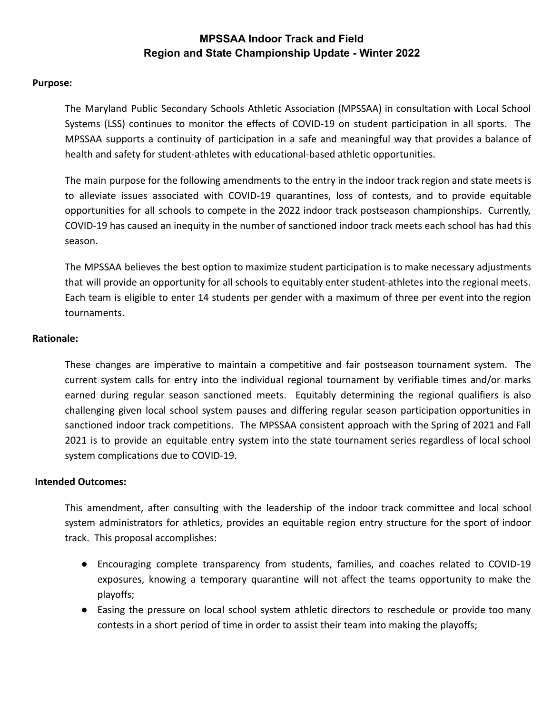#### **Purpose:**

The Maryland Public Secondary Schools Athletic Association (MPSSAA) in consultation with Local School Systems (LSS) continues to monitor the effects of COVID-19 on student participation in all sports. The MPSSAA supports a continuity of participation in a safe and meaningful way that provides a balance of health and safety for student-athletes with educational-based athletic opportunities.

The main purpose for the following amendments to the entry in the indoor track region and state meets is to alleviate issues associated with COVID-19 quarantines, loss of contests, and to provide equitable opportunities for all schools to compete in the 2022 indoor track postseason championships. Currently, COVID-19 has caused an inequity in the number of sanctioned indoor track meets each school has had this season.

The MPSSAA believes the best option to maximize student participation is to make necessary adjustments that will provide an opportunity for all schools to equitably enter student-athletes into the regional meets. Each team is eligible to enter 14 students per gender with a maximum of three per event into the region tournaments.

#### **Rationale:**

These changes are imperative to maintain a competitive and fair postseason tournament system. The current system calls for entry into the individual regional tournament by verifiable times and/or marks earned during regular season sanctioned meets. Equitably determining the regional qualifiers is also challenging given local school system pauses and differing regular season participation opportunities in sanctioned indoor track competitions. The MPSSAA consistent approach with the Spring of 2021 and Fall 2021 is to provide an equitable entry system into the state tournament series regardless of local school system complications due to COVID-19.

#### **Intended Outcomes:**

This amendment, after consulting with the leadership of the indoor track committee and local school system administrators for athletics, provides an equitable region entry structure for the sport of indoor track. This proposal accomplishes:

- Encouraging complete transparency from students, families, and coaches related to COVID-19 exposures, knowing a temporary quarantine will not affect the teams opportunity to make the playoffs;
- Easing the pressure on local school system athletic directors to reschedule or provide too many contests in a short period of time in order to assist their team into making the playoffs;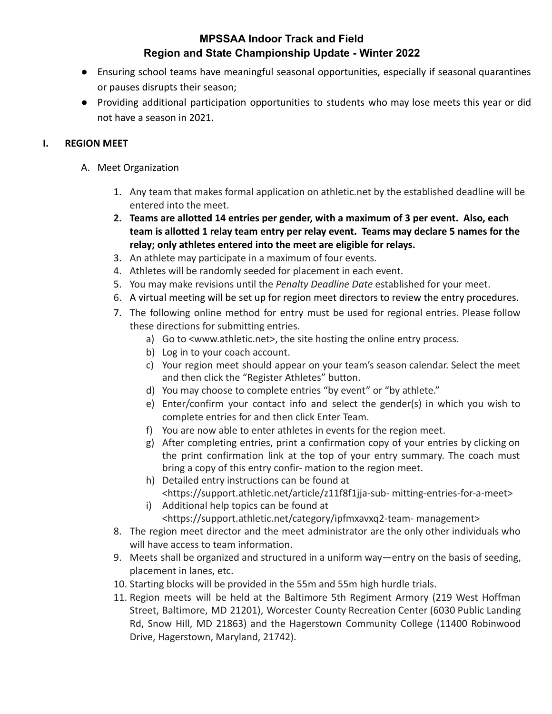- Ensuring school teams have meaningful seasonal opportunities, especially if seasonal quarantines or pauses disrupts their season;
- Providing additional participation opportunities to students who may lose meets this year or did not have a season in 2021.

#### **I. REGION MEET**

- A. Meet Organization
	- 1. Any team that makes formal application on athletic.net by the established deadline will be entered into the meet.
	- **2. Teams are allotted 14 entries per gender, with a maximum of 3 per event. Also, each team is allotted 1 relay team entry per relay event. Teams may declare 5 names for the relay; only athletes entered into the meet are eligible for relays.**
	- 3. An athlete may participate in a maximum of four events.
	- 4. Athletes will be randomly seeded for placement in each event.
	- 5. You may make revisions until the *Penalty Deadline Date* established for your meet.
	- 6. A virtual meeting will be set up for region meet directors to review the entry procedures.
	- 7. The following online method for entry must be used for regional entries. Please follow these directions for submitting entries.
		- a) Go to [<www.athletic.net>,](http://www.athletic.net/) the site hosting the online entry process.
		- b) Log in to your coach account.
		- c) Your region meet should appear on your team's season calendar. Select the meet and then click the "Register Athletes" button.
		- d) You may choose to complete entries "by event" or "by athlete."
		- e) Enter/confirm your contact info and select the gender(s) in which you wish to complete entries for and then click Enter Team.
		- f) You are now able to enter athletes in events for the region meet.
		- g) After completing entries, print a confirmation copy of your entries by clicking on the print confirmation link at the top of your entry summary. The coach must bring a copy of this entry confir- mation to the region meet.
		- h) Detailed entry instructions can be found at <https://support.athletic.net/article/z11f8f1jja-sub- mitting-entries-for-a-meet>
		- i) Additional help topics can be found at <https://support.athletic.net/category/ipfmxavxq2-team- management>
	- 8. The region meet director and the meet administrator are the only other individuals who will have access to team information.
	- 9. Meets shall be organized and structured in a uniform way—entry on the basis of seeding, placement in lanes, etc.
	- 10. Starting blocks will be provided in the 55m and 55m high hurdle trials.
	- 11. Region meets will be held at the Baltimore 5th Regiment Armory (219 West Hoffman Street, Baltimore, MD 21201), Worcester County Recreation Center (6030 Public Landing Rd, Snow Hill, MD 21863) and the Hagerstown Community College (11400 Robinwood Drive, Hagerstown, Maryland, 21742).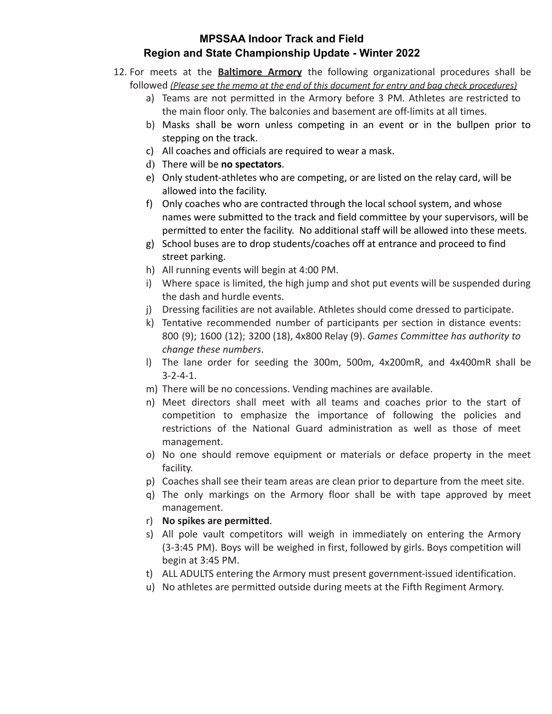- 12. For meets at the **Baltimore Armory** the following organizational procedures shall be followed *(Please see the memo at the end of this document for entry and bag check procedures)*
	- a) Teams are not permitted in the Armory before 3 PM. Athletes are restricted to the main floor only. The balconies and basement are off-limits at all times.
	- b) Masks shall be worn unless competing in an event or in the bullpen prior to stepping on the track.
	- c) All coaches and officials are required to wear a mask.
	- d) There will be **no spectators**.
	- e) Only student-athletes who are competing, or are listed on the relay card, will be allowed into the facility.
	- f) Only coaches who are contracted through the local school system, and whose names were submitted to the track and field committee by your supervisors, will be permitted to enter the facility. No additional staff will be allowed into these meets.
	- g) School buses are to drop students/coaches off at entrance and proceed to find street parking.
	- h) All running events will begin at 4:00 PM.
	- i) Where space is limited, the high jump and shot put events will be suspended during the dash and hurdle events.
	- j) Dressing facilities are not available. Athletes should come dressed to participate.
	- k) Tentative recommended number of participants per section in distance events: 800 (9); 1600 (12); 3200 (18), 4x800 Relay (9). *Games Committee has authority to change these numbers*.
	- l) The lane order for seeding the 300m, 500m, 4x200mR, and 4x400mR shall be 3-2-4-1.
	- m) There will be no concessions. Vending machines are available.
	- n) Meet directors shall meet with all teams and coaches prior to the start of competition to emphasize the importance of following the policies and restrictions of the National Guard administration as well as those of meet management.
	- o) No one should remove equipment or materials or deface property in the meet facility.
	- p) Coaches shall see their team areas are clean prior to departure from the meet site.
	- q) The only markings on the Armory floor shall be with tape approved by meet management.
	- r) **No spikes are permitted**.
	- s) All pole vault competitors will weigh in immediately on entering the Armory (3-3:45 PM). Boys will be weighed in first, followed by girls. Boys competition will begin at 3:45 PM.
	- t) ALL ADULTS entering the Armory must present government-issued identification.
	- u) No athletes are permitted outside during meets at the Fifth Regiment Armory.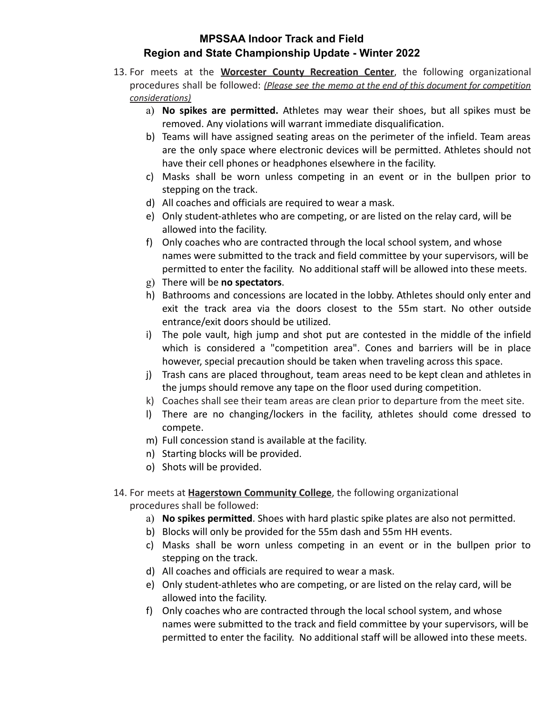- 13. For meets at the **Worcester County Recreation Center**, the following organizational procedures shall be followed: *(Please see the memo at the end of this document for competition considerations)*
	- a) **No spikes are permitted.** Athletes may wear their shoes, but all spikes must be removed. Any violations will warrant immediate disqualification.
	- b) Teams will have assigned seating areas on the perimeter of the infield. Team areas are the only space where electronic devices will be permitted. Athletes should not have their cell phones or headphones elsewhere in the facility.
	- c) Masks shall be worn unless competing in an event or in the bullpen prior to stepping on the track.
	- d) All coaches and officials are required to wear a mask.
	- e) Only student-athletes who are competing, or are listed on the relay card, will be allowed into the facility.
	- f) Only coaches who are contracted through the local school system, and whose names were submitted to the track and field committee by your supervisors, will be permitted to enter the facility. No additional staff will be allowed into these meets.
	- g) There will be **no spectators**.
	- h) Bathrooms and concessions are located in the lobby. Athletes should only enter and exit the track area via the doors closest to the 55m start. No other outside entrance/exit doors should be utilized.
	- i) The pole vault, high jump and shot put are contested in the middle of the infield which is considered a "competition area". Cones and barriers will be in place however, special precaution should be taken when traveling across this space.
	- j) Trash cans are placed throughout, team areas need to be kept clean and athletes in the jumps should remove any tape on the floor used during competition.
	- k) Coaches shall see their team areas are clean prior to departure from the meet site.
	- l) There are no changing/lockers in the facility, athletes should come dressed to compete.
	- m) Full concession stand is available at the facility.
	- n) Starting blocks will be provided.
	- o) Shots will be provided.
- 14. For meets at **Hagerstown Community College**, the following organizational procedures shall be followed:
	- a) **No spikes permitted**. Shoes with hard plastic spike plates are also not permitted.
	- b) Blocks will only be provided for the 55m dash and 55m HH events.
	- c) Masks shall be worn unless competing in an event or in the bullpen prior to stepping on the track.
	- d) All coaches and officials are required to wear a mask.
	- e) Only student-athletes who are competing, or are listed on the relay card, will be allowed into the facility.
	- f) Only coaches who are contracted through the local school system, and whose names were submitted to the track and field committee by your supervisors, will be permitted to enter the facility. No additional staff will be allowed into these meets.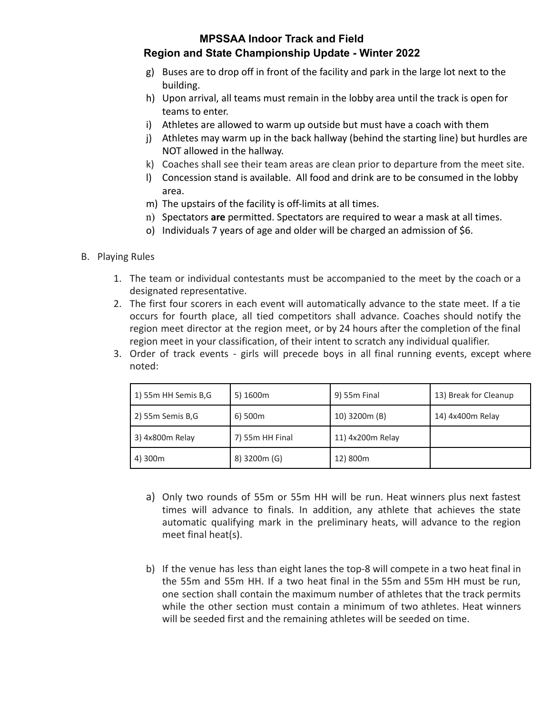# **MPSSAA Indoor Track and Field**

#### **Region and State Championship Update - Winter 2022**

- g) Buses are to drop off in front of the facility and park in the large lot next to the building.
- h) Upon arrival, all teams must remain in the lobby area until the track is open for teams to enter.
- i) Athletes are allowed to warm up outside but must have a coach with them
- j) Athletes may warm up in the back hallway (behind the starting line) but hurdles are NOT allowed in the hallway.
- k) Coaches shall see their team areas are clean prior to departure from the meet site.
- l) Concession stand is available. All food and drink are to be consumed in the lobby area.
- m) The upstairs of the facility is off-limits at all times.
- n) Spectators **are** permitted. Spectators are required to wear a mask at all times.
- o) Individuals 7 years of age and older will be charged an admission of \$6.

#### B. Playing Rules

- 1. The team or individual contestants must be accompanied to the meet by the coach or a designated representative.
- 2. The first four scorers in each event will automatically advance to the state meet. If a tie occurs for fourth place, all tied competitors shall advance. Coaches should notify the region meet director at the region meet, or by 24 hours after the completion of the final region meet in your classification, of their intent to scratch any individual qualifier.
- 3. Order of track events girls will precede boys in all final running events, except where noted:

| 1) 55m HH Semis B,G | 5) 1600m        | 9) 55m Final     | 13) Break for Cleanup |
|---------------------|-----------------|------------------|-----------------------|
| 2) 55m Semis B,G    | 6) 500m         | 10) 3200m (B)    | 14) 4x400m Relay      |
| 3) 4x800m Relay     | 7) 55m HH Final | 11) 4x200m Relay |                       |
| 4) 300m             | 8) 3200m (G)    | 12) 800m         |                       |

- a) Only two rounds of 55m or 55m HH will be run. Heat winners plus next fastest times will advance to finals. In addition, any athlete that achieves the state automatic qualifying mark in the preliminary heats, will advance to the region meet final heat(s).
- b) If the venue has less than eight lanes the top-8 will compete in a two heat final in the 55m and 55m HH. If a two heat final in the 55m and 55m HH must be run, one section shall contain the maximum number of athletes that the track permits while the other section must contain a minimum of two athletes. Heat winners will be seeded first and the remaining athletes will be seeded on time.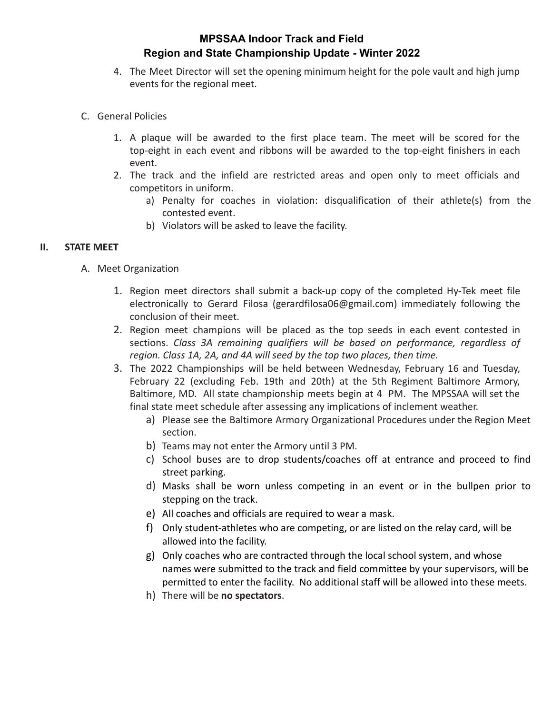- 4. The Meet Director will set the opening minimum height for the pole vault and high jump events for the regional meet.
- C. General Policies
	- 1. A plaque will be awarded to the first place team. The meet will be scored for the top-eight in each event and ribbons will be awarded to the top-eight finishers in each event.
	- 2. The track and the infield are restricted areas and open only to meet officials and competitors in uniform.
		- a) Penalty for coaches in violation: disqualification of their athlete(s) from the contested event.
		- b) Violators will be asked to leave the facility.

#### **II. STATE MEET**

- A. Meet Organization
	- 1. Region meet directors shall submit a back-up copy of the completed Hy-Tek meet file electronically to Gerard Filosa (gerardfilosa06@gmail.com) immediately following the conclusion of their meet.
	- 2. Region meet champions will be placed as the top seeds in each event contested in sections. *Class 3A remaining qualifiers will be based on performance, regardless of region. Class 1A, 2A, and 4A will seed by the top two places, then time.*
	- 3. The 2022 Championships will be held between Wednesday, February 16 and Tuesday, February 22 (excluding Feb. 19th and 20th) at the 5th Regiment Baltimore Armory, Baltimore, MD. All state championship meets begin at 4 PM. The MPSSAA will set the final state meet schedule after assessing any implications of inclement weather.
		- a) Please see the Baltimore Armory Organizational Procedures under the Region Meet section.
		- b) Teams may not enter the Armory until 3 PM.
		- c) School buses are to drop students/coaches off at entrance and proceed to find street parking.
		- d) Masks shall be worn unless competing in an event or in the bullpen prior to stepping on the track.
		- e) All coaches and officials are required to wear a mask.
		- f) Only student-athletes who are competing, or are listed on the relay card, will be allowed into the facility.
		- g) Only coaches who are contracted through the local school system, and whose names were submitted to the track and field committee by your supervisors, will be permitted to enter the facility. No additional staff will be allowed into these meets.
		- h) There will be **no spectators**.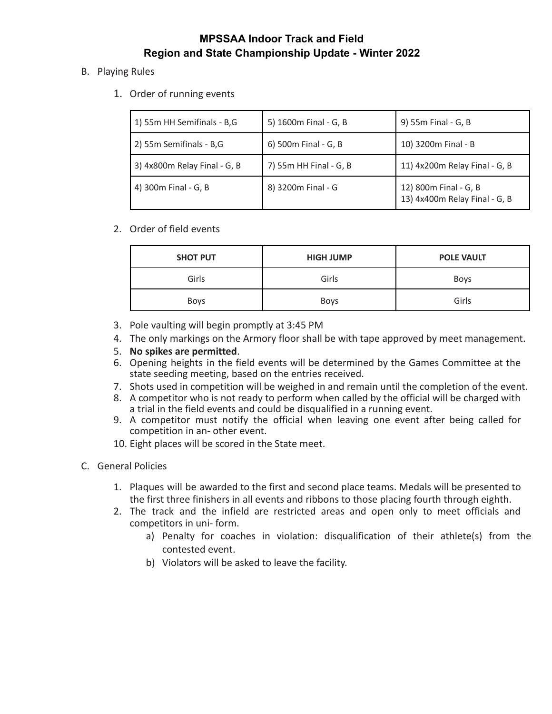- B. Playing Rules
	- 1. Order of running events

| 1) 55m HH Semifinals - B,G   | 5) 1600m Final - G, B  | 9) 55m Final - G, B                                    |
|------------------------------|------------------------|--------------------------------------------------------|
| 2) 55m Semifinals - B,G      | 6) 500m Final - G, B   | 10) 3200m Final - B                                    |
| 3) 4x800m Relay Final - G, B | 7) 55m HH Final - G, B | 11) 4x200m Relay Final - G, B                          |
| 4) 300m Final - G, B         | 8) 3200m Final - G     | 12) 800m Final - G, B<br>13) 4x400m Relay Final - G, B |

2. Order of field events

| <b>SHOT PUT</b> | <b>HIGH JUMP</b> | <b>POLE VAULT</b> |
|-----------------|------------------|-------------------|
| Girls           | Girls            | <b>Boys</b>       |
| <b>Boys</b>     | Boys             | Girls             |

- 3. Pole vaulting will begin promptly at 3:45 PM
- 4. The only markings on the Armory floor shall be with tape approved by meet management.
- 5. **No spikes are permitted**.
- 6. Opening heights in the field events will be determined by the Games Committee at the state seeding meeting, based on the entries received.
- 7. Shots used in competition will be weighed in and remain until the completion of the event.
- 8. A competitor who is not ready to perform when called by the official will be charged with a trial in the field events and could be disqualified in a running event.
- 9. A competitor must notify the official when leaving one event after being called for competition in an- other event.
- 10. Eight places will be scored in the State meet.
- C. General Policies
	- 1. Plaques will be awarded to the first and second place teams. Medals will be presented to the first three finishers in all events and ribbons to those placing fourth through eighth.
	- 2. The track and the infield are restricted areas and open only to meet officials and competitors in uni- form.
		- a) Penalty for coaches in violation: disqualification of their athlete(s) from the contested event.
		- b) Violators will be asked to leave the facility.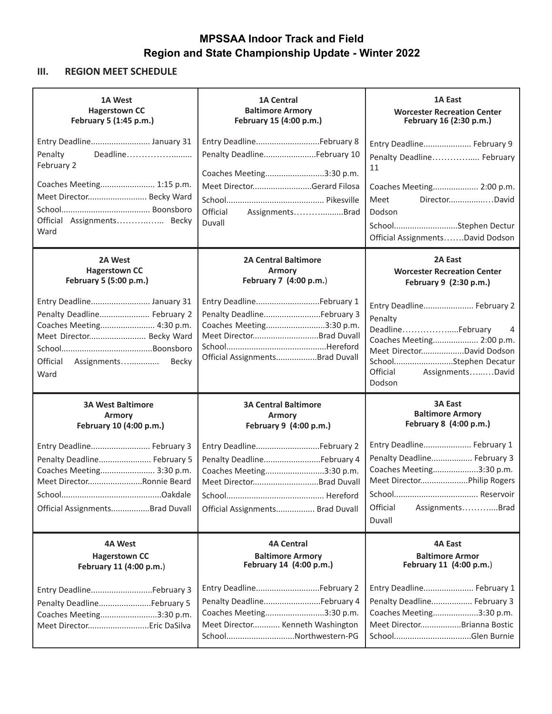### **III. REGION MEET SCHEDULE**

| 1A West                                                                                                                                                       | <b>1A Central</b>                                                                                                                                          | 1A East                                                                                                                                                                                    |
|---------------------------------------------------------------------------------------------------------------------------------------------------------------|------------------------------------------------------------------------------------------------------------------------------------------------------------|--------------------------------------------------------------------------------------------------------------------------------------------------------------------------------------------|
| <b>Hagerstown CC</b>                                                                                                                                          | <b>Baltimore Armory</b>                                                                                                                                    | <b>Worcester Recreation Center</b>                                                                                                                                                         |
| February 5 (1:45 p.m.)                                                                                                                                        | February 15 (4:00 p.m.)                                                                                                                                    | February 16 (2:30 p.m.)                                                                                                                                                                    |
| Entry Deadline January 31<br>Deadline<br>Penalty<br>February 2<br>Coaches Meeting 1:15 p.m.<br>Meet Director Becky Ward<br>Official Assignments Becky<br>Ward | Entry DeadlineFebruary 8<br>Penalty DeadlineFebruary 10<br>Coaches Meeting3:30 p.m.<br>Meet DirectorGerard Filosa<br>Official<br>AssignmentsBrad<br>Duvall | Entry Deadline February 9<br>Penalty Deadline February<br>11<br>Coaches Meeting 2:00 p.m.<br>Meet<br>DirectorDavid<br>Dodson<br>SchoolStephen Dectur<br>Official AssignmentsDavid Dodson   |
| 2A West                                                                                                                                                       | <b>2A Central Baltimore</b>                                                                                                                                | 2A East                                                                                                                                                                                    |
| <b>Hagerstown CC</b>                                                                                                                                          | <b>Armory</b>                                                                                                                                              | <b>Worcester Recreation Center</b>                                                                                                                                                         |
| February 5 (5:00 p.m.)                                                                                                                                        | February 7 (4:00 p.m.)                                                                                                                                     | February 9 (2:30 p.m.)                                                                                                                                                                     |
| Entry Deadline January 31<br>Penalty Deadline February 2<br>Coaches Meeting 4:30 p.m.<br>Meet Director Becky Ward<br>Official<br>Assignments<br>Becky<br>Ward | Entry DeadlineFebruary 1<br>Penalty DeadlineFebruary 3<br>Coaches Meeting3:30 p.m.<br>Meet DirectorBrad Duvall<br>Official AssignmentsBrad Duvall          | Entry Deadline February 2<br>Penalty<br>DeadlineFebruary<br>4<br>Coaches Meeting 2:00 p.m.<br>Meet DirectorDavid Dodson<br>SchoolStephen Decatur<br>Official<br>AssignmentsDavid<br>Dodson |
| <b>3A West Baltimore</b>                                                                                                                                      | <b>3A Central Baltimore</b>                                                                                                                                | <b>3A East</b>                                                                                                                                                                             |
| <b>Armory</b>                                                                                                                                                 | <b>Armory</b>                                                                                                                                              | <b>Baltimore Armory</b>                                                                                                                                                                    |
| February 10 (4:00 p.m.)                                                                                                                                       | February 9 (4:00 p.m.)                                                                                                                                     | February 8 (4:00 p.m.)                                                                                                                                                                     |
| Entry Deadline February 3<br>Penalty Deadline February 5<br>Coaches Meeting 3:30 p.m.<br>Meet DirectorRonnie Beard<br>Official AssignmentsBrad Duvall         | Entry DeadlineFebruary 2<br>Penalty DeadlineFebruary 4<br>Coaches Meeting3:30 p.m.<br>Meet DirectorBrad Duvall<br>Official Assignments Brad Duvall         | Entry Deadline February 1<br>Penalty Deadline February 3<br>Coaches Meeting3:30 p.m.<br>Meet DirectorPhilip Rogers<br>Official<br>AssignmentsBrad<br>Duvall                                |
| 4A West                                                                                                                                                       | <b>4A Central</b>                                                                                                                                          | <b>4A East</b>                                                                                                                                                                             |
| <b>Hagerstown CC</b>                                                                                                                                          | <b>Baltimore Armory</b>                                                                                                                                    | <b>Baltimore Armor</b>                                                                                                                                                                     |
| February 11 (4:00 p.m.)                                                                                                                                       | February 14 (4:00 p.m.)                                                                                                                                    | February 11 (4:00 p.m.)                                                                                                                                                                    |
| Entry DeadlineFebruary 3<br>Penalty DeadlineFebruary 5<br>Coaches Meeting3:30 p.m.<br>Meet Director Eric DaSilva                                              | Entry DeadlineFebruary 2<br>Penalty DeadlineFebruary 4<br>Coaches Meeting3:30 p.m.<br>Meet Director Kenneth Washington<br>SchoolNorthwestern-PG            | Entry Deadline February 1<br>Penalty Deadline February 3<br>Coaches Meeting3:30 p.m.<br>Meet DirectorBrianna Bostic                                                                        |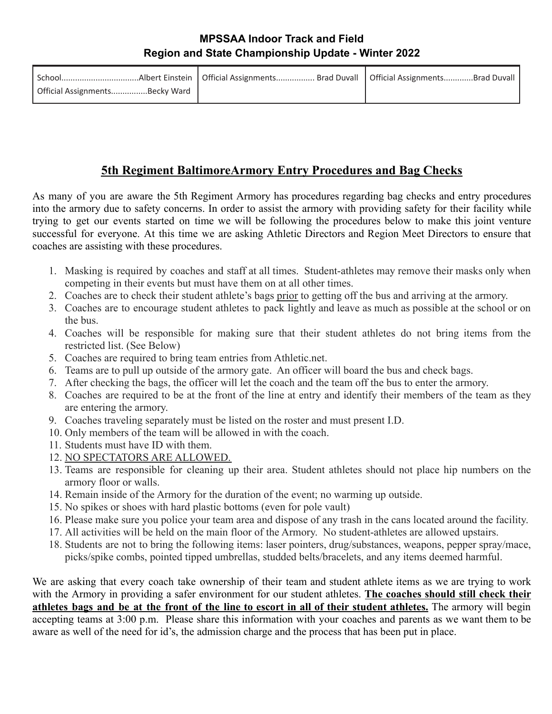| Official AssignmentsBecky Ward |  |
|--------------------------------|--|

# **5th Regiment BaltimoreArmory Entry Procedures and Bag Checks**

As many of you are aware the 5th Regiment Armory has procedures regarding bag checks and entry procedures into the armory due to safety concerns. In order to assist the armory with providing safety for their facility while trying to get our events started on time we will be following the procedures below to make this joint venture successful for everyone. At this time we are asking Athletic Directors and Region Meet Directors to ensure that coaches are assisting with these procedures.

- 1. Masking is required by coaches and staff at all times. Student-athletes may remove their masks only when competing in their events but must have them on at all other times.
- 2. Coaches are to check their student athlete's bags prior to getting off the bus and arriving at the armory.
- 3. Coaches are to encourage student athletes to pack lightly and leave as much as possible at the school or on the bus.
- 4. Coaches will be responsible for making sure that their student athletes do not bring items from the restricted list. (See Below)
- 5. Coaches are required to bring team entries from Athletic.net.
- 6. Teams are to pull up outside of the armory gate. An officer will board the bus and check bags.
- 7. After checking the bags, the officer will let the coach and the team off the bus to enter the armory.
- 8. Coaches are required to be at the front of the line at entry and identify their members of the team as they are entering the armory.
- 9. Coaches traveling separately must be listed on the roster and must present I.D.
- 10. Only members of the team will be allowed in with the coach.
- 11. Students must have ID with them.
- 12. NO SPECTATORS ARE ALLOWED.
- 13. Teams are responsible for cleaning up their area. Student athletes should not place hip numbers on the armory floor or walls.
- 14. Remain inside of the Armory for the duration of the event; no warming up outside.
- 15. No spikes or shoes with hard plastic bottoms (even for pole vault)
- 16. Please make sure you police your team area and dispose of any trash in the cans located around the facility.
- 17. All activities will be held on the main floor of the Armory. No student-athletes are allowed upstairs.
- 18. Students are not to bring the following items: laser pointers, drug/substances, weapons, pepper spray/mace, picks/spike combs, pointed tipped umbrellas, studded belts/bracelets, and any items deemed harmful.

We are asking that every coach take ownership of their team and student athlete items as we are trying to work with the Armory in providing a safer environment for our student athletes. **The coaches should still check their** athletes bags and be at the front of the line to escort in all of their student athletes. The armory will begin accepting teams at 3:00 p.m. Please share this information with your coaches and parents as we want them to be aware as well of the need for id's, the admission charge and the process that has been put in place.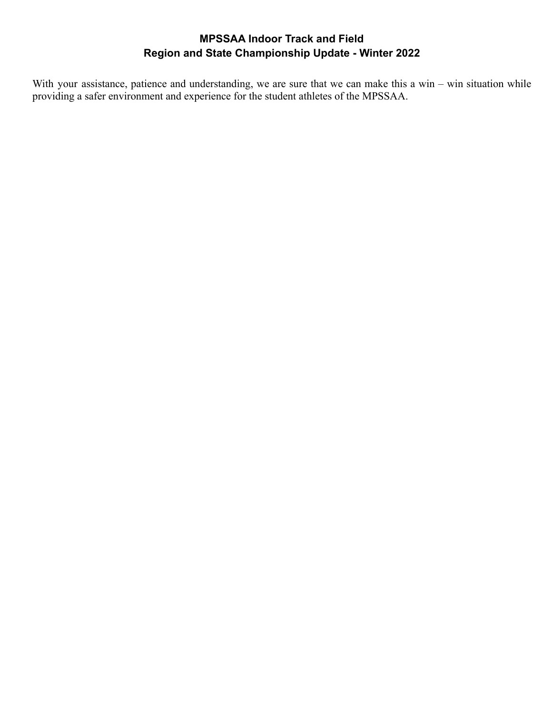With your assistance, patience and understanding, we are sure that we can make this a win – win situation while providing a safer environment and experience for the student athletes of the MPSSAA.